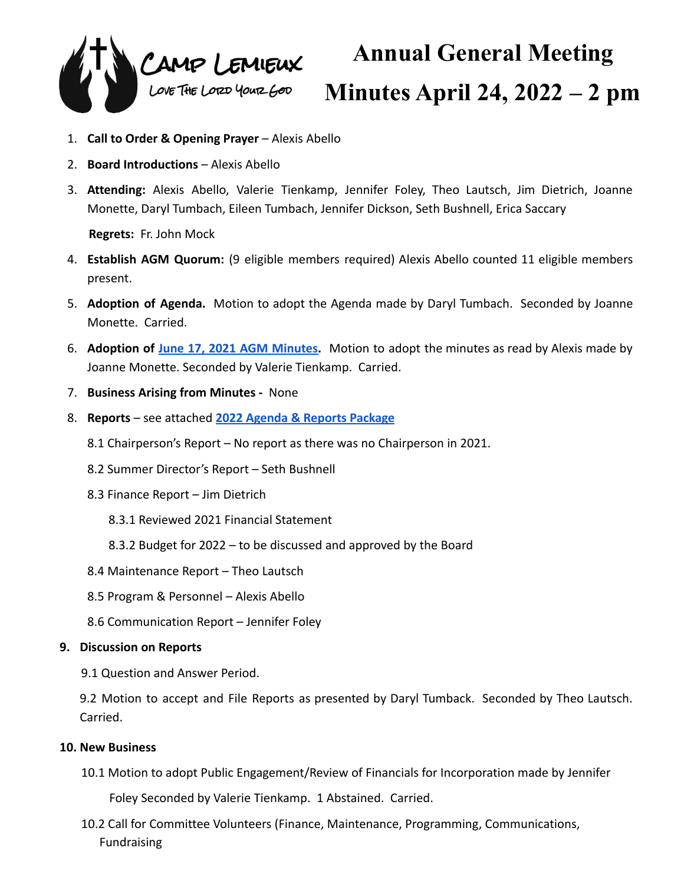

## **Annual General Meeting Minutes April 24, 2022 – 2 pm**

- 1. **Call to Order & Opening Prayer** Alexis Abello
- 2. **Board Introductions** Alexis Abello
- 3. **Attending:** Alexis Abello, Valerie Tienkamp, Jennifer Foley, Theo Lautsch, Jim Dietrich, Joanne Monette, Daryl Tumbach, Eileen Tumbach, Jennifer Dickson, Seth Bushnell, Erica Saccary

**Regrets:** Fr. John Mock

- 4. **Establish AGM Quorum:** (9 eligible members required) Alexis Abello counted 11 eligible members present.
- 5. **Adoption of Agenda.** Motion to adopt the Agenda made by Daryl Tumbach. Seconded by Joanne Monette. Carried.
- 6. **Adoption of June 17, 2021 AGM [Minutes.](https://docs.google.com/document/d/1BbdtpJfyhnRi5AaOrtFiN7p2zIK1LEI3fiRMhfokwMY/edit?usp=sharing)** Motion to adopt the minutes as read by Alexis made by Joanne Monette. Seconded by Valerie Tienkamp. Carried.
- 7. **Business Arising from Minutes -** None
- 8. **Reports** see attached **[2022 Agenda & Reports Package](https://drive.google.com/file/d/16_HXu2vGtwyd7WvM2F-RVfu2ee3X5VCV/view?usp=sharing)**
	- 8.1 Chairperson's Report No report as there was no Chairperson in 2021.
	- 8.2 Summer Director's Report Seth Bushnell
	- 8.3 Finance Report Jim Dietrich
		- 8.3.1 Reviewed 2021 Financial Statement
		- 8.3.2 Budget for 2022 to be discussed and approved by the Board
	- 8.4 Maintenance Report Theo Lautsch
	- 8.5 Program & Personnel Alexis Abello
	- 8.6 Communication Report Jennifer Foley

## **9. Discussion on Reports**

9.1 Question and Answer Period.

9.2 Motion to accept and File Reports as presented by Daryl Tumback. Seconded by Theo Lautsch. Carried.

## **10. New Business**

10.1 Motion to adopt Public Engagement/Review of Financials for Incorporation made by Jennifer

Foley Seconded by Valerie Tienkamp. 1 Abstained. Carried.

10.2 Call for Committee Volunteers (Finance, Maintenance, Programming, Communications, Fundraising